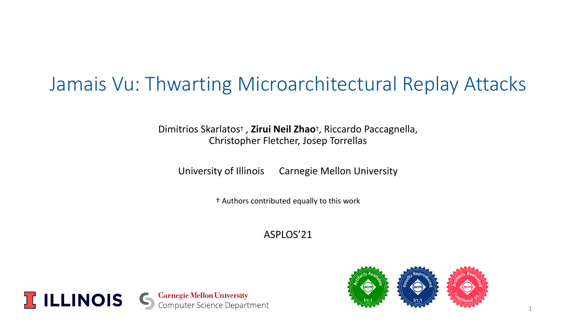# Jamais Vu: Thwarting Microarchitectural Replay Attacks

Dimitrios Skarlatos† , **Zirui Neil Zhao**† , Riccardo Paccagnella, Christopher Fletcher, Josep Torrellas

University of Illinois Carnegie Mellon University

† Authors contributed equally to this work

ASPLOS'21



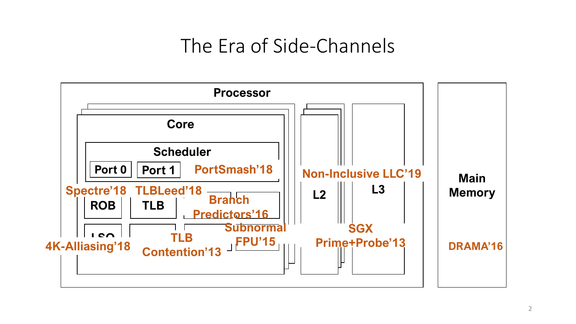# The Era of Side-Channels

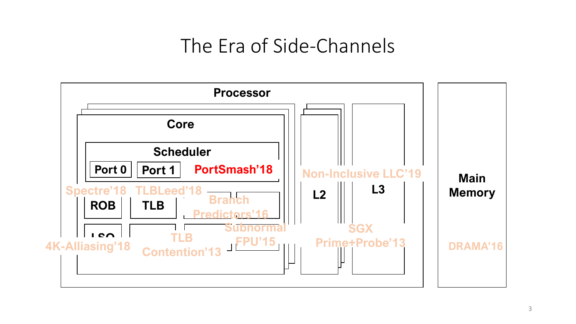# The Era of Side-Channels

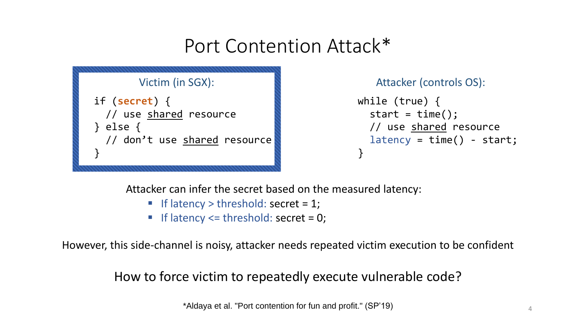## Port Contention Attack\*



Attacker (controls OS):

```
while (true) {
  start = time();
  // use shared resource
  latency = time() - start;}
```
Attacker can infer the secret based on the measured latency:

- $\blacksquare$  If latency  $>$  threshold: secret = 1;
- If latency  $\leq$  threshold: secret = 0;

However, this side-channel is noisy, attacker needs repeated victim execution to be confident

How to force victim to repeatedly execute vulnerable code?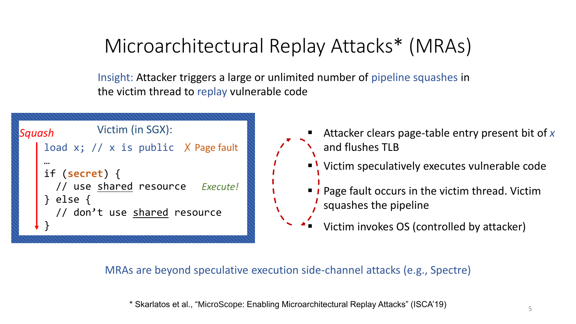# Microarchitectural Replay Attacks\* (MRAs)

Insight: Attacker triggers a large or unlimited number of pipeline squashes in the victim thread to replay vulnerable code

| Squash         | Victim (in SGX):                                                                   |
|----------------|------------------------------------------------------------------------------------|
|                | load x; $// x is public X Page fault$                                              |
| $\}$ else $\{$ | if $(secret)$ {<br>// use shared resource Execute!<br>// don't use shared resource |

- Attacker clears page-table entry present bit of x and flushes TLB
- Victim speculatively executes vulnerable code
- <sup>1</sup> Page fault occurs in the victim thread. Victim squashes the pipeline

Victim invokes OS (controlled by attacker)

MRAs are beyond speculative execution side-channel attacks (e.g., Spectre)

\* Skarlatos et al., "MicroScope: Enabling Microarchitectural Replay Attacks" (ISCA'19)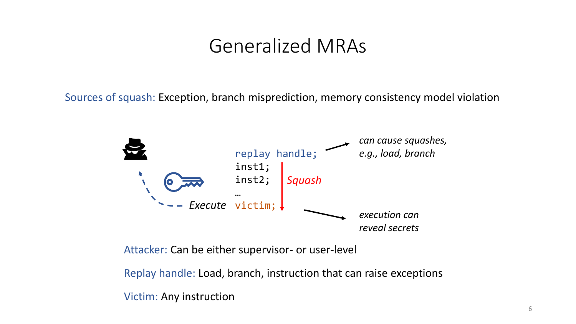### Generalized MRAs

Sources of squash: Exception, branch misprediction, memory consistency model violation



Attacker: Can be either supervisor- or user-level

Replay handle: Load, branch, instruction that can raise exceptions

Victim: Any instruction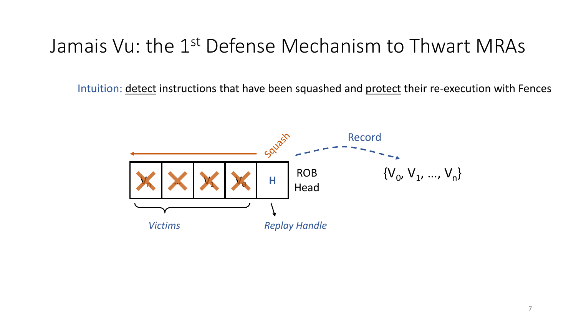Intuition: detect instructions that have been squashed and protect their re-execution with Fences

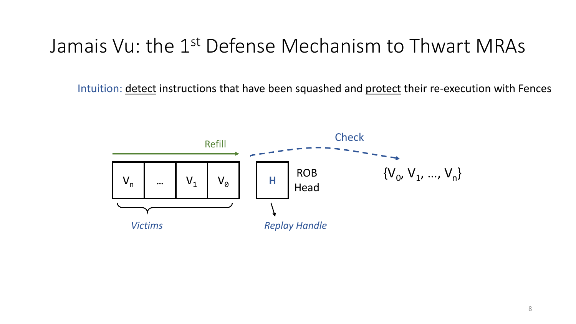Intuition: detect instructions that have been squashed and protect their re-execution with Fences

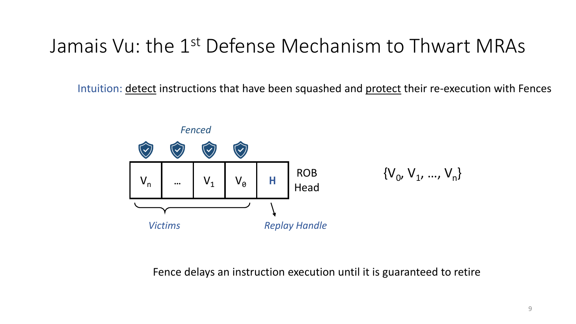Intuition: detect instructions that have been squashed and protect their re-execution with Fences



Fence delays an instruction execution until it is guaranteed to retire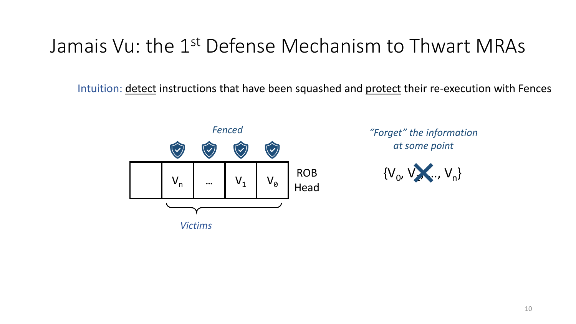Intuition: detect instructions that have been squashed and protect their re-execution with Fences



*"Forget" the information at some point*

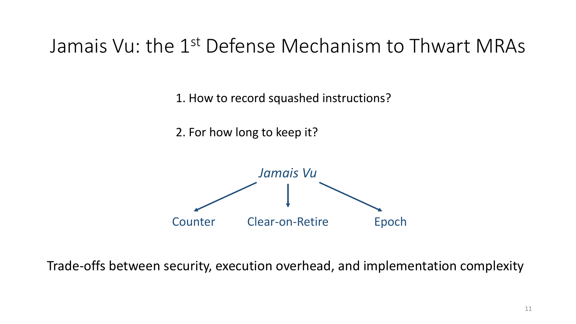1. How to record squashed instructions?

2. For how long to keep it?



Trade-offs between security, execution overhead, and implementation complexity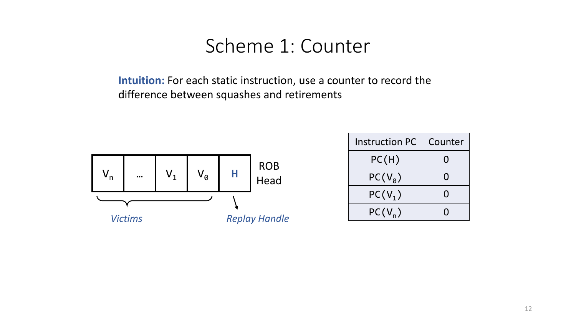**Intuition:** For each static instruction, use a counter to record the difference between squashes and retirements



| <b>Instruction PC</b> | Counter |  |
|-----------------------|---------|--|
| PC(H)                 | $\Box$  |  |
| $PC(V_a)$             | $\Box$  |  |
| $PC(V_1)$             | $\Box$  |  |
| $PC(V_n)$             |         |  |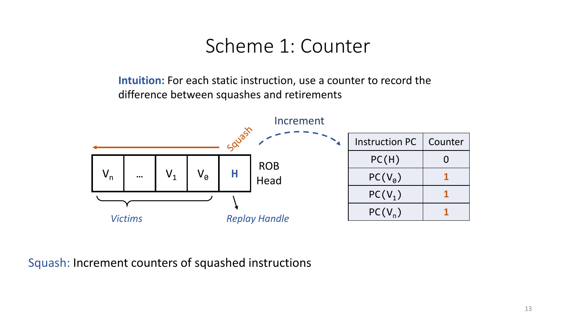**Intuition:** For each static instruction, use a counter to record the difference between squashes and retirements



Squash: Increment counters of squashed instructions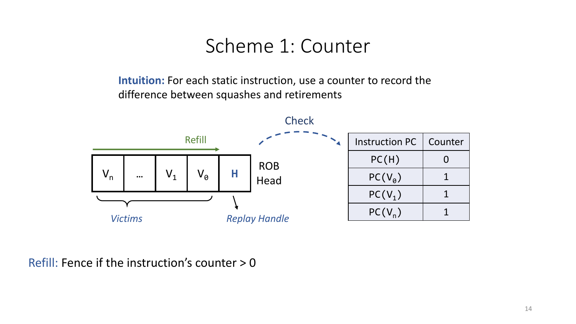**Intuition:** For each static instruction, use a counter to record the difference between squashes and retirements



Refill: Fence if the instruction's counter > 0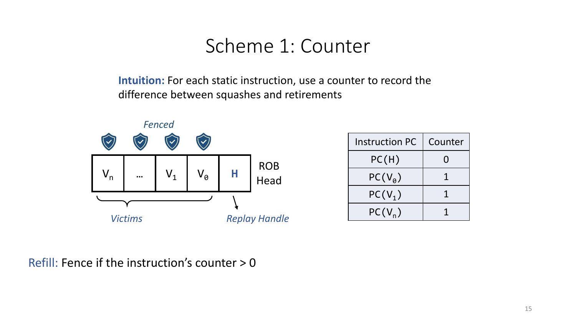**Intuition:** For each static instruction, use a counter to record the difference between squashes and retirements



| <b>Instruction PC</b> | Counter |  |
|-----------------------|---------|--|
| PC(H)                 | 0       |  |
| $PC(V_a)$             |         |  |
| $PC(V_1)$             |         |  |
| $PC(V_n)$             |         |  |

Refill: Fence if the instruction's counter > 0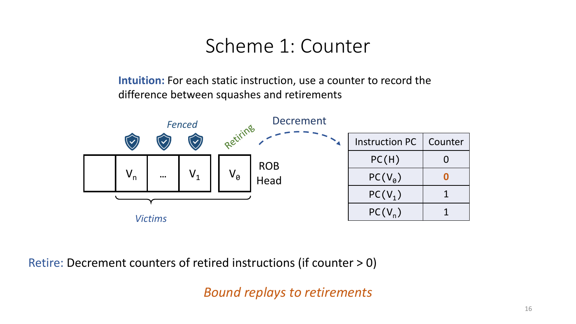**Intuition:** For each static instruction, use a counter to record the difference between squashes and retirements



Retire: Decrement counters of retired instructions (if counter > 0)

*Bound replays to retirements*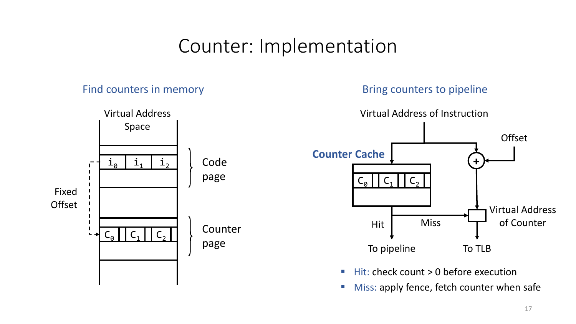### Counter: Implementation

#### Find counters in memory



Bring counters to pipeline



■ Hit: check count > 0 before execution

■ Miss: apply fence, fetch counter when safe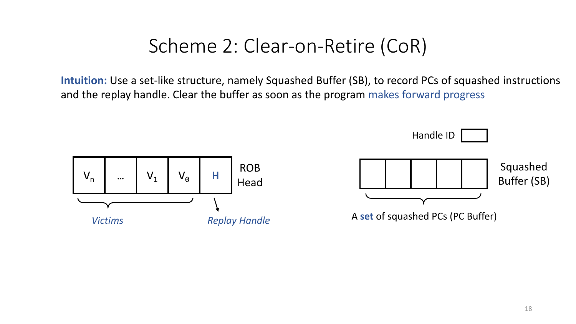**Intuition:** Use a set-like structure, namely Squashed Buffer (SB), to record PCs of squashed instructions and the replay handle. Clear the buffer as soon as the program makes forward progress

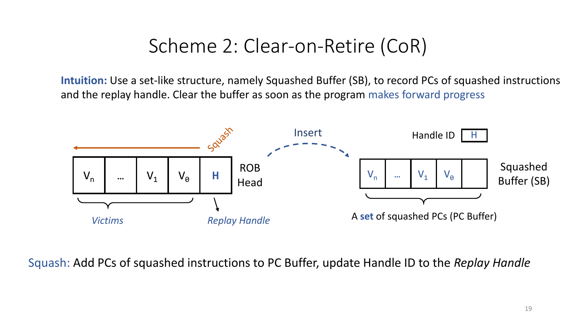**Intuition:** Use a set-like structure, namely Squashed Buffer (SB), to record PCs of squashed instructions and the replay handle. Clear the buffer as soon as the program makes forward progress



Squash: Add PCs of squashed instructions to PC Buffer, update Handle ID to the *Replay Handle*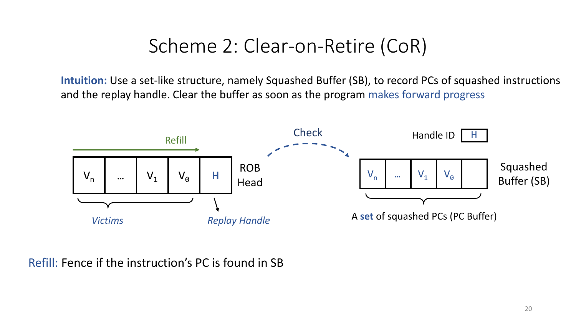**Intuition:** Use a set-like structure, namely Squashed Buffer (SB), to record PCs of squashed instructions and the replay handle. Clear the buffer as soon as the program makes forward progress



#### Refill: Fence if the instruction's PC is found in SB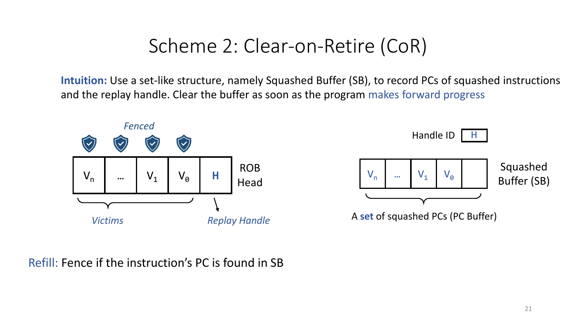**Intuition:** Use a set-like structure, namely Squashed Buffer (SB), to record PCs of squashed instructions and the replay handle. Clear the buffer as soon as the program makes forward progress





#### Refill: Fence if the instruction's PC is found in SB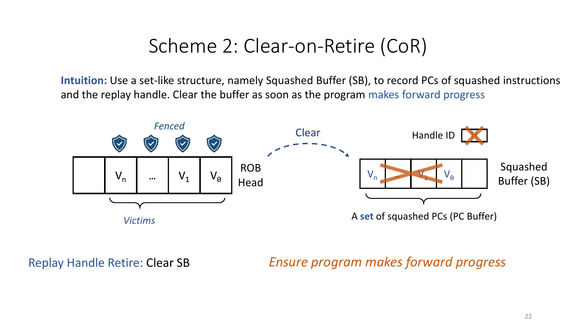**Intuition:** Use a set-like structure, namely Squashed Buffer (SB), to record PCs of squashed instructions and the replay handle. Clear the buffer as soon as the program makes forward progress



Replay Handle Retire: Clear SB *Ensure program makes forward progress*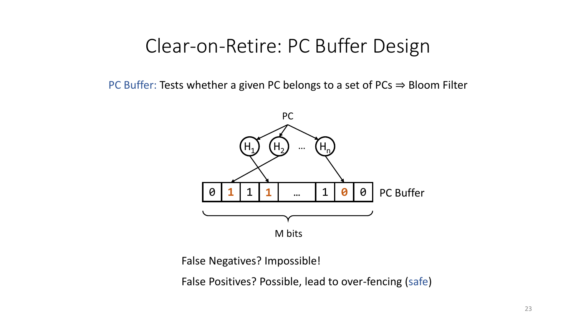### Clear-on-Retire: PC Buffer Design

PC Buffer: Tests whether a given PC belongs to a set of PCs ⇒ Bloom Filter



False Negatives? Impossible!

False Positives? Possible, lead to over-fencing (safe)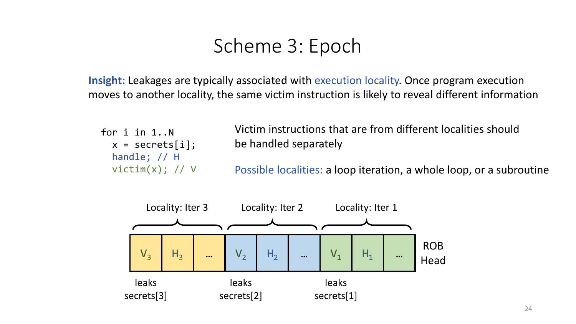**Insight:** Leakages are typically associated with execution locality. Once program execution moves to another locality, the same victim instruction is likely to reveal different information

```
for i in 1..N
  x = secrets[i];
  handle; // H
  victim(x); // V
```
Victim instructions that are from different localities should be handled separately

Possible localities: a loop iteration, a whole loop, or a subroutine

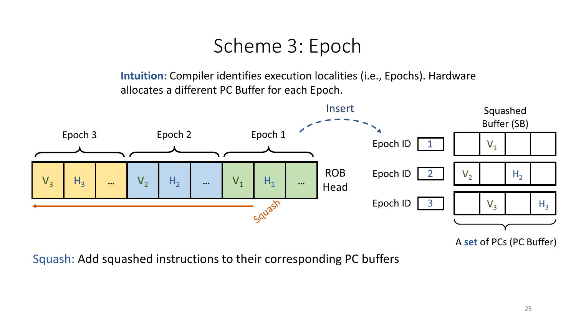**Intuition:** Compiler identifies execution localities (i.e., Epochs). Hardware allocates a different PC Buffer for each Epoch.



A **set** of PCs (PC Buffer)

Squash: Add squashed instructions to their corresponding PC buffers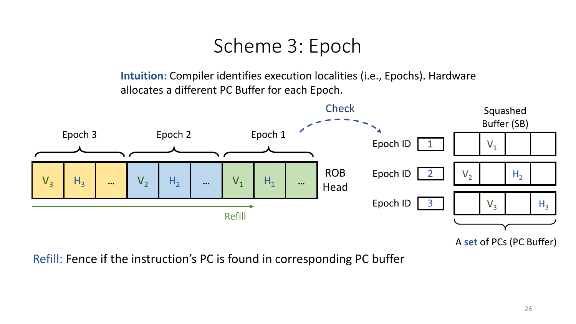**Intuition:** Compiler identifies execution localities (i.e., Epochs). Hardware allocates a different PC Buffer for each Epoch.



A **set** of PCs (PC Buffer)

Refill: Fence if the instruction's PC is found in corresponding PC buffer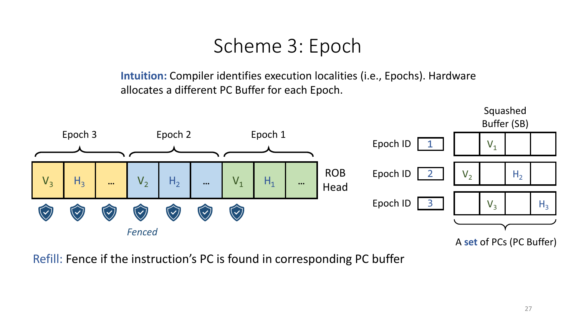**Intuition:** Compiler identifies execution localities (i.e., Epochs). Hardware allocates a different PC Buffer for each Epoch.



Refill: Fence if the instruction's PC is found in corresponding PC buffer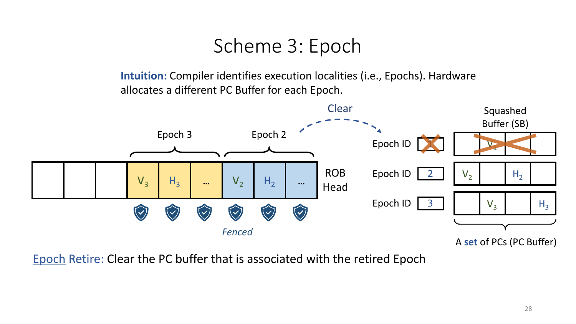**Intuition:** Compiler identifies execution localities (i.e., Epochs). Hardware allocates a different PC Buffer for each Epoch.



Epoch Retire: Clear the PC buffer that is associated with the retired Epoch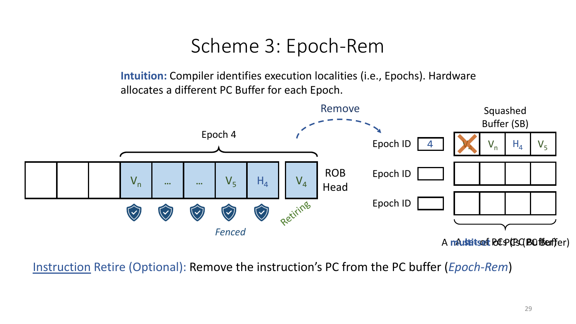### Scheme 3: Epoch-Rem

**Intuition:** Compiler identifies execution localities (i.e., Epochs). Hardware allocates a different PC Buffer for each Epoch.



Instruction Retire (Optional): Remove the instruction's PC from the PC buffer (*Epoch-Rem*)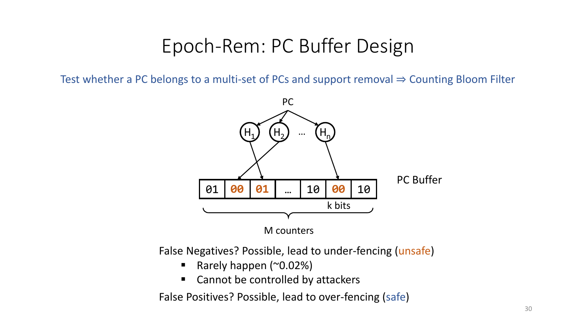### Epoch-Rem: PC Buffer Design

Test whether a PC belongs to a multi-set of PCs and support removal  $\Rightarrow$  Counting Bloom Filter



M counters

False Negatives? Possible, lead to under-fencing (unsafe)

- Rarely happen (~0.02%)
- Cannot be controlled by attackers

False Positives? Possible, lead to over-fencing (safe)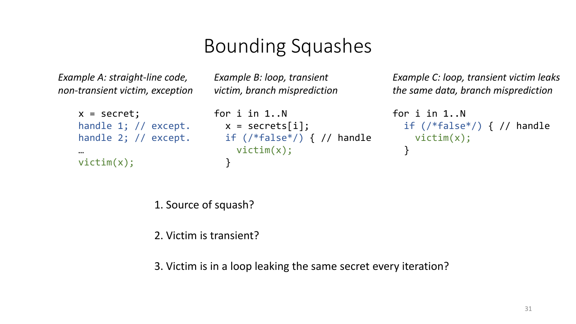# Bounding Squashes

*Example A: straight-line code, non-transient victim, exception* *Example B: loop, transient victim, branch misprediction*

```
x = secret;
handle 1; // except.
x = secrets[i];
handle 2; // except.
…
victim(x);
             for i in 1..N
                        if (/*false*/) { // handle
                          victim(x);
                        }
```
*Example C: loop, transient victim leaks the same data, branch misprediction*

```
for i in 1..N
 if (/*false*/) { // handle
   victim(x);
  }
```
1. Source of squash?

2. Victim is transient?

3. Victim is in a loop leaking the same secret every iteration?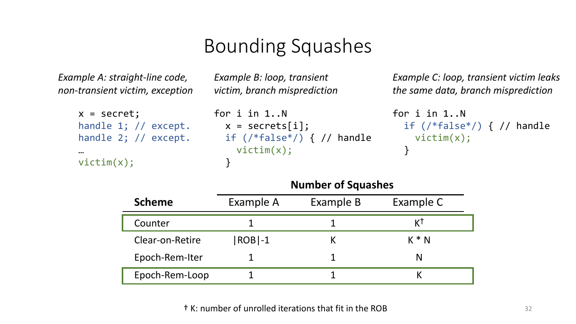# Bounding Squashes

*Example A: straight-line code, non-transient victim, exception*

handle 2; // except.

handle 1; // except. x = secrets[i];

 $x =$  secret;

victim(x);

…

*Example B: loop, transient victim, branch misprediction*

for i in 1..N

}

victim(x);

*Example C: loop, transient victim leaks the same data, branch misprediction*

```
for i in 1..N
  if (/*false*/) { // handle
  victim(x);
  }
```

|                 | <b>ITAIIINCI VI JYUUJIILJ</b> |           |           |  |  |
|-----------------|-------------------------------|-----------|-----------|--|--|
| <b>Scheme</b>   | Example A                     | Example B | Example C |  |  |
| Counter         |                               |           |           |  |  |
| Clear-on-Retire | $ ROB -1$                     |           | $K * N$   |  |  |
| Epoch-Rem-Iter  |                               |           |           |  |  |
| Epoch-Rem-Loop  |                               |           |           |  |  |

if (/\*false\*/) { // handle

#### **Number of Squashes**

† K: number of unrolled iterations that fit in the ROB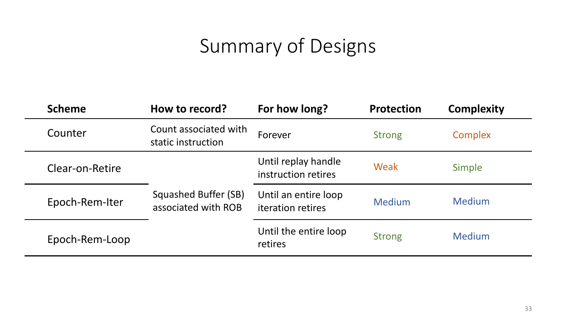# Summary of Designs

| <b>Scheme</b>   | How to record?                              | For how long?                                    | <b>Protection</b> | <b>Complexity</b> |
|-----------------|---------------------------------------------|--------------------------------------------------|-------------------|-------------------|
| Counter         | Count associated with<br>static instruction | Forever                                          | <b>Strong</b>     | Complex           |
| Clear-on-Retire |                                             | Until replay handle<br>instruction retires       | Weak              | Simple            |
| Epoch-Rem-Iter  | Squashed Buffer (SB)<br>associated with ROB | Until an entire loop<br><b>iteration</b> retires | <b>Medium</b>     | <b>Medium</b>     |
| Epoch-Rem-Loop  |                                             | Until the entire loop<br>retires                 | <b>Strong</b>     | <b>Medium</b>     |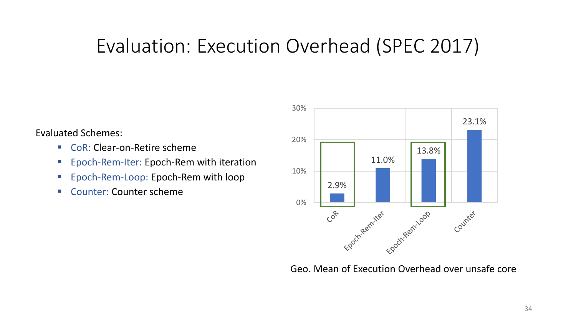# Evaluation: Execution Overhead (SPEC 2017)

Evaluated Schemes:

- CoR: Clear-on-Retire scheme
- Epoch-Rem-Iter: Epoch-Rem with iteration
- Epoch-Rem-Loop: Epoch-Rem with loop
- Counter: Counter scheme



Geo. Mean of Execution Overhead over unsafe core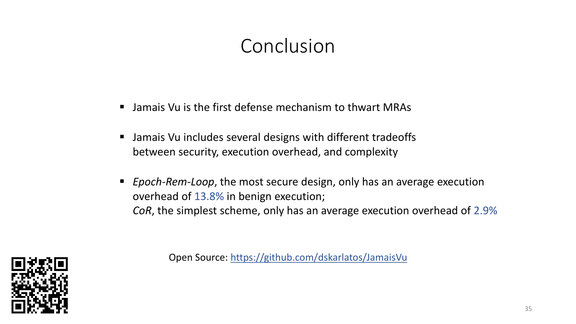# Conclusion

- Jamais Vu is the first defense mechanism to thwart MRAs
- Jamais Vu includes several designs with different tradeoffs between security, execution overhead, and complexity
- *Epoch-Rem-Loop*, the most secure design, only has an average execution overhead of 13.8% in benign execution; *CoR*, the simplest scheme, only has an average execution overhead of 2.9%



Open Source: https://github.com/dskarlatos/JamaisVu